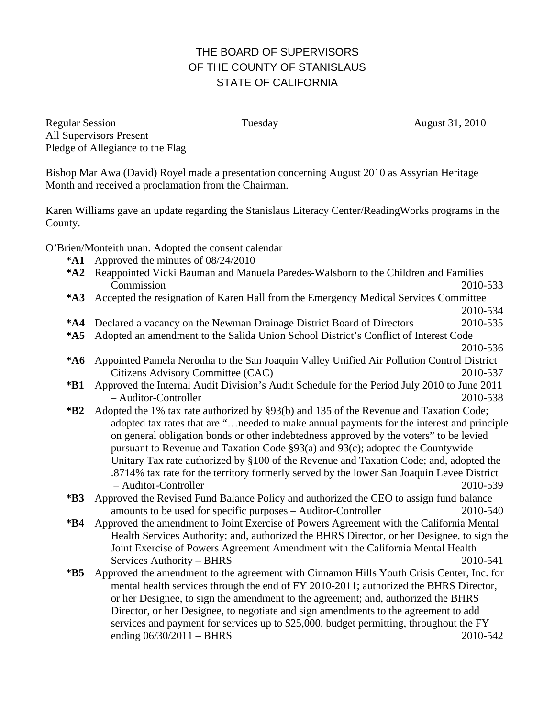## THE BOARD OF SUPERVISORS OF THE COUNTY OF STANISLAUS STATE OF CALIFORNIA

Regular Session Tuesday Tuesday August 31, 2010 All Supervisors Present Pledge of Allegiance to the Flag

Bishop Mar Awa (David) Royel made a presentation concerning August 2010 as Assyrian Heritage Month and received a proclamation from the Chairman.

Karen Williams gave an update regarding the Stanislaus Literacy Center/ReadingWorks programs in the County.

O'Brien/Monteith unan. Adopted the consent calendar

- **\*A1** Approved the minutes of 08/24/2010
- **\*A2** Reappointed Vicki Bauman and Manuela Paredes-Walsborn to the Children and Families Commission 2010-533
- **\*A3** Accepted the resignation of Karen Hall from the Emergency Medical Services Committee

2010-534

- **\*A4** Declared a vacancy on the Newman Drainage District Board of Directors 2010-535
- **\*A5** Adopted an amendment to the Salida Union School District's Conflict of Interest Code
- 2010-536 **\*A6** Appointed Pamela Neronha to the San Joaquin Valley Unified Air Pollution Control District Citizens Advisory Committee (CAC) 2010-537
	- **\*B1** Approved the Internal Audit Division's Audit Schedule for the Period July 2010 to June 2011 – Auditor-Controller 2010-538
	- **\*B2** Adopted the 1% tax rate authorized by §93(b) and 135 of the Revenue and Taxation Code; adopted tax rates that are "…needed to make annual payments for the interest and principle on general obligation bonds or other indebtedness approved by the voters" to be levied pursuant to Revenue and Taxation Code §93(a) and 93(c); adopted the Countywide Unitary Tax rate authorized by §100 of the Revenue and Taxation Code; and, adopted the .8714% tax rate for the territory formerly served by the lower San Joaquin Levee District – Auditor-Controller 2010-539
	- **\*B3** Approved the Revised Fund Balance Policy and authorized the CEO to assign fund balance amounts to be used for specific purposes – Auditor-Controller 2010-540
	- **\*B4** Approved the amendment to Joint Exercise of Powers Agreement with the California Mental Health Services Authority; and, authorized the BHRS Director, or her Designee, to sign the Joint Exercise of Powers Agreement Amendment with the California Mental Health Services Authority – BHRS 2010-541
	- **\*B5** Approved the amendment to the agreement with Cinnamon Hills Youth Crisis Center, Inc. for mental health services through the end of FY 2010-2011; authorized the BHRS Director, or her Designee, to sign the amendment to the agreement; and, authorized the BHRS Director, or her Designee, to negotiate and sign amendments to the agreement to add services and payment for services up to \$25,000, budget permitting, throughout the FY ending  $06/30/2011 - BHRS$  2010-542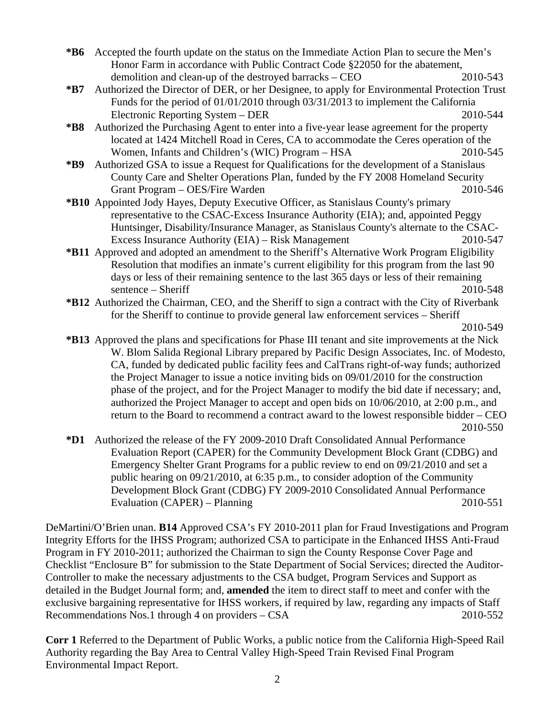- **\*B6** Accepted the fourth update on the status on the Immediate Action Plan to secure the Men's Honor Farm in accordance with Public Contract Code §22050 for the abatement, demolition and clean-up of the destroyed barracks – CEO 2010-543
- **\*B7** Authorized the Director of DER, or her Designee, to apply for Environmental Protection Trust Funds for the period of 01/01/2010 through 03/31/2013 to implement the California Electronic Reporting System – DER 2010-544
- **\*B8** Authorized the Purchasing Agent to enter into a five-year lease agreement for the property located at 1424 Mitchell Road in Ceres, CA to accommodate the Ceres operation of the Women, Infants and Children's (WIC) Program – HSA 2010-545
- **\*B9** Authorized GSA to issue a Request for Qualifications for the development of a Stanislaus County Care and Shelter Operations Plan, funded by the FY 2008 Homeland Security Grant Program – OES/Fire Warden 2010-546
- **\*B10** Appointed Jody Hayes, Deputy Executive Officer, as Stanislaus County's primary representative to the CSAC-Excess Insurance Authority (EIA); and, appointed Peggy Huntsinger, Disability/Insurance Manager, as Stanislaus County's alternate to the CSAC-Excess Insurance Authority (EIA) – Risk Management 2010-547
- **\*B11** Approved and adopted an amendment to the Sheriff's Alternative Work Program Eligibility Resolution that modifies an inmate's current eligibility for this program from the last 90 days or less of their remaining sentence to the last 365 days or less of their remaining sentence – Sheriff 2010-548
- **\*B12** Authorized the Chairman, CEO, and the Sheriff to sign a contract with the City of Riverbank for the Sheriff to continue to provide general law enforcement services – Sheriff

2010-549

- **\*B13** Approved the plans and specifications for Phase III tenant and site improvements at the Nick W. Blom Salida Regional Library prepared by Pacific Design Associates, Inc. of Modesto, CA, funded by dedicated public facility fees and CalTrans right-of-way funds; authorized the Project Manager to issue a notice inviting bids on 09/01/2010 for the construction phase of the project, and for the Project Manager to modify the bid date if necessary; and, authorized the Project Manager to accept and open bids on 10/06/2010, at 2:00 p.m., and return to the Board to recommend a contract award to the lowest responsible bidder – CEO 2010-550
- **\*D1** Authorized the release of the FY 2009-2010 Draft Consolidated Annual Performance Evaluation Report (CAPER) for the Community Development Block Grant (CDBG) and Emergency Shelter Grant Programs for a public review to end on 09/21/2010 and set a public hearing on 09/21/2010, at 6:35 p.m., to consider adoption of the Community Development Block Grant (CDBG) FY 2009-2010 Consolidated Annual Performance Evaluation (CAPER) – Planning 2010-551

DeMartini/O'Brien unan. **B14** Approved CSA's FY 2010-2011 plan for Fraud Investigations and Program Integrity Efforts for the IHSS Program; authorized CSA to participate in the Enhanced IHSS Anti-Fraud Program in FY 2010-2011; authorized the Chairman to sign the County Response Cover Page and Checklist "Enclosure B" for submission to the State Department of Social Services; directed the Auditor-Controller to make the necessary adjustments to the CSA budget, Program Services and Support as detailed in the Budget Journal form; and, **amended** the item to direct staff to meet and confer with the exclusive bargaining representative for IHSS workers, if required by law, regarding any impacts of Staff Recommendations Nos.1 through 4 on providers – CSA 2010-552

**Corr 1** Referred to the Department of Public Works, a public notice from the California High-Speed Rail Authority regarding the Bay Area to Central Valley High-Speed Train Revised Final Program Environmental Impact Report.